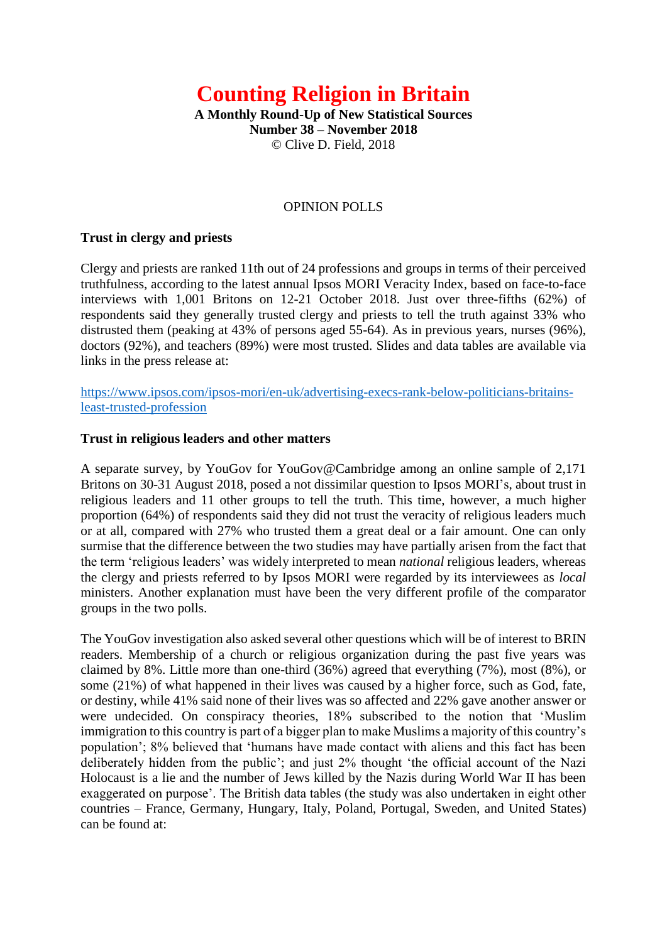# **Counting Religion in Britain**

**A Monthly Round-Up of New Statistical Sources Number 38 – November 2018** © Clive D. Field, 2018

#### OPINION POLLS

#### **Trust in clergy and priests**

Clergy and priests are ranked 11th out of 24 professions and groups in terms of their perceived truthfulness, according to the latest annual Ipsos MORI Veracity Index, based on face-to-face interviews with 1,001 Britons on 12-21 October 2018. Just over three-fifths (62%) of respondents said they generally trusted clergy and priests to tell the truth against 33% who distrusted them (peaking at 43% of persons aged 55-64). As in previous years, nurses (96%), doctors (92%), and teachers (89%) were most trusted. Slides and data tables are available via links in the press release at:

[https://www.ipsos.com/ipsos-mori/en-uk/advertising-execs-rank-below-politicians-britains](https://www.ipsos.com/ipsos-mori/en-uk/advertising-execs-rank-below-politicians-britains-least-trusted-profession)[least-trusted-profession](https://www.ipsos.com/ipsos-mori/en-uk/advertising-execs-rank-below-politicians-britains-least-trusted-profession)

#### **Trust in religious leaders and other matters**

A separate survey, by YouGov for YouGov@Cambridge among an online sample of 2,171 Britons on 30-31 August 2018, posed a not dissimilar question to Ipsos MORI's, about trust in religious leaders and 11 other groups to tell the truth. This time, however, a much higher proportion (64%) of respondents said they did not trust the veracity of religious leaders much or at all, compared with 27% who trusted them a great deal or a fair amount. One can only surmise that the difference between the two studies may have partially arisen from the fact that the term 'religious leaders' was widely interpreted to mean *national* religious leaders, whereas the clergy and priests referred to by Ipsos MORI were regarded by its interviewees as *local* ministers. Another explanation must have been the very different profile of the comparator groups in the two polls.

The YouGov investigation also asked several other questions which will be of interest to BRIN readers. Membership of a church or religious organization during the past five years was claimed by 8%. Little more than one-third (36%) agreed that everything (7%), most (8%), or some (21%) of what happened in their lives was caused by a higher force, such as God, fate, or destiny, while 41% said none of their lives was so affected and 22% gave another answer or were undecided. On conspiracy theories, 18% subscribed to the notion that 'Muslim immigration to this country is part of a bigger plan to make Muslims a majority of this country's population'; 8% believed that 'humans have made contact with aliens and this fact has been deliberately hidden from the public'; and just 2% thought 'the official account of the Nazi Holocaust is a lie and the number of Jews killed by the Nazis during World War II has been exaggerated on purpose'. The British data tables (the study was also undertaken in eight other countries – France, Germany, Hungary, Italy, Poland, Portugal, Sweden, and United States) can be found at: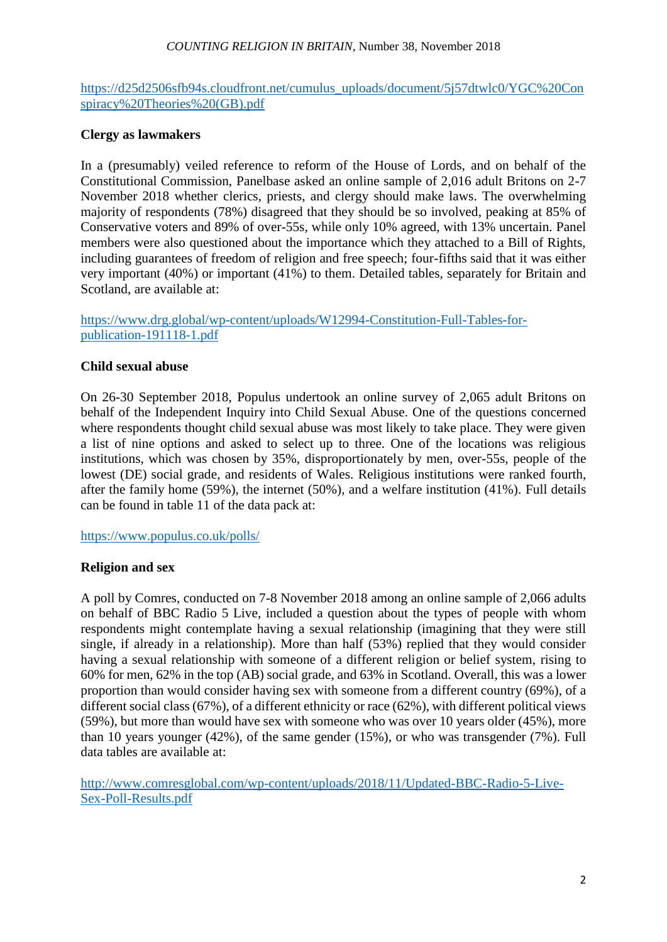#### *COUNTING RELIGION IN BRITAIN*, Number 38, November 2018

[https://d25d2506sfb94s.cloudfront.net/cumulus\\_uploads/document/5j57dtwlc0/YGC%20Con](https://d25d2506sfb94s.cloudfront.net/cumulus_uploads/document/5j57dtwlc0/YGC%20Conspiracy%20Theories%20(GB).pdf) [spiracy%20Theories%20\(GB\).pdf](https://d25d2506sfb94s.cloudfront.net/cumulus_uploads/document/5j57dtwlc0/YGC%20Conspiracy%20Theories%20(GB).pdf)

#### **Clergy as lawmakers**

In a (presumably) veiled reference to reform of the House of Lords, and on behalf of the Constitutional Commission, Panelbase asked an online sample of 2,016 adult Britons on 2-7 November 2018 whether clerics, priests, and clergy should make laws. The overwhelming majority of respondents (78%) disagreed that they should be so involved, peaking at 85% of Conservative voters and 89% of over-55s, while only 10% agreed, with 13% uncertain. Panel members were also questioned about the importance which they attached to a Bill of Rights, including guarantees of freedom of religion and free speech; four-fifths said that it was either very important (40%) or important (41%) to them. Detailed tables, separately for Britain and Scotland, are available at:

[https://www.drg.global/wp-content/uploads/W12994-Constitution-Full-Tables-for](https://www.drg.global/wp-content/uploads/W12994-Constitution-Full-Tables-for-publication-191118-1.pdf)[publication-191118-1.pdf](https://www.drg.global/wp-content/uploads/W12994-Constitution-Full-Tables-for-publication-191118-1.pdf)

#### **Child sexual abuse**

On 26-30 September 2018, Populus undertook an online survey of 2,065 adult Britons on behalf of the Independent Inquiry into Child Sexual Abuse. One of the questions concerned where respondents thought child sexual abuse was most likely to take place. They were given a list of nine options and asked to select up to three. One of the locations was religious institutions, which was chosen by 35%, disproportionately by men, over-55s, people of the lowest (DE) social grade, and residents of Wales. Religious institutions were ranked fourth, after the family home (59%), the internet (50%), and a welfare institution (41%). Full details can be found in table 11 of the data pack at:

<https://www.populus.co.uk/polls/>

## **Religion and sex**

A poll by Comres, conducted on 7-8 November 2018 among an online sample of 2,066 adults on behalf of BBC Radio 5 Live, included a question about the types of people with whom respondents might contemplate having a sexual relationship (imagining that they were still single, if already in a relationship). More than half (53%) replied that they would consider having a sexual relationship with someone of a different religion or belief system, rising to 60% for men, 62% in the top (AB) social grade, and 63% in Scotland. Overall, this was a lower proportion than would consider having sex with someone from a different country (69%), of a different social class (67%), of a different ethnicity or race (62%), with different political views (59%), but more than would have sex with someone who was over 10 years older (45%), more than 10 years younger (42%), of the same gender (15%), or who was transgender (7%). Full data tables are available at:

[http://www.comresglobal.com/wp-content/uploads/2018/11/Updated-BBC-Radio-5-Live-](http://www.comresglobal.com/wp-content/uploads/2018/11/Updated-BBC-Radio-5-Live-Sex-Poll-Results.pdf)[Sex-Poll-Results.pdf](http://www.comresglobal.com/wp-content/uploads/2018/11/Updated-BBC-Radio-5-Live-Sex-Poll-Results.pdf)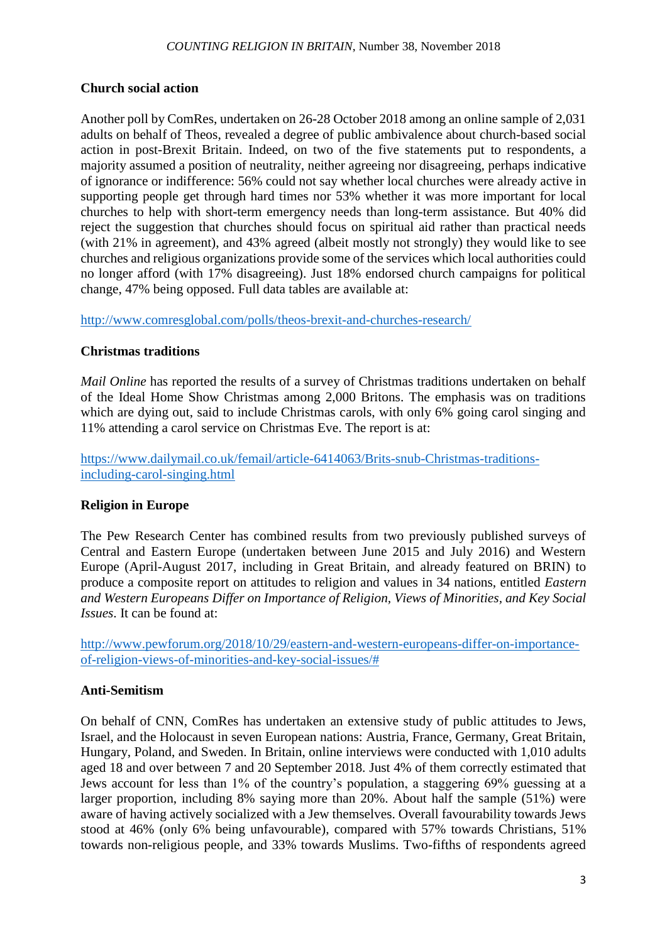## **Church social action**

Another poll by ComRes, undertaken on 26-28 October 2018 among an online sample of 2,031 adults on behalf of Theos, revealed a degree of public ambivalence about church-based social action in post-Brexit Britain. Indeed, on two of the five statements put to respondents, a majority assumed a position of neutrality, neither agreeing nor disagreeing, perhaps indicative of ignorance or indifference: 56% could not say whether local churches were already active in supporting people get through hard times nor 53% whether it was more important for local churches to help with short-term emergency needs than long-term assistance. But 40% did reject the suggestion that churches should focus on spiritual aid rather than practical needs (with 21% in agreement), and 43% agreed (albeit mostly not strongly) they would like to see churches and religious organizations provide some of the services which local authorities could no longer afford (with 17% disagreeing). Just 18% endorsed church campaigns for political change, 47% being opposed. Full data tables are available at:

<http://www.comresglobal.com/polls/theos-brexit-and-churches-research/>

## **Christmas traditions**

*Mail Online* has reported the results of a survey of Christmas traditions undertaken on behalf of the Ideal Home Show Christmas among 2,000 Britons. The emphasis was on traditions which are dying out, said to include Christmas carols, with only 6% going carol singing and 11% attending a carol service on Christmas Eve. The report is at:

[https://www.dailymail.co.uk/femail/article-6414063/Brits-snub-Christmas-traditions](https://www.dailymail.co.uk/femail/article-6414063/Brits-snub-Christmas-traditions-including-carol-singing.html)[including-carol-singing.html](https://www.dailymail.co.uk/femail/article-6414063/Brits-snub-Christmas-traditions-including-carol-singing.html)

## **Religion in Europe**

The Pew Research Center has combined results from two previously published surveys of Central and Eastern Europe (undertaken between June 2015 and July 2016) and Western Europe (April-August 2017, including in Great Britain, and already featured on BRIN) to produce a composite report on attitudes to religion and values in 34 nations, entitled *Eastern and Western Europeans Differ on Importance of Religion, Views of Minorities, and Key Social Issues*. It can be found at:

[http://www.pewforum.org/2018/10/29/eastern-and-western-europeans-differ-on-importance](http://www.pewforum.org/2018/10/29/eastern-and-western-europeans-differ-on-importance-of-religion-views-of-minorities-and-key-social-issues/)[of-religion-views-of-minorities-and-key-social-issues/#](http://www.pewforum.org/2018/10/29/eastern-and-western-europeans-differ-on-importance-of-religion-views-of-minorities-and-key-social-issues/)

## **Anti-Semitism**

On behalf of CNN, ComRes has undertaken an extensive study of public attitudes to Jews, Israel, and the Holocaust in seven European nations: Austria, France, Germany, Great Britain, Hungary, Poland, and Sweden. In Britain, online interviews were conducted with 1,010 adults aged 18 and over between 7 and 20 September 2018. Just 4% of them correctly estimated that Jews account for less than 1% of the country's population, a staggering 69% guessing at a larger proportion, including 8% saying more than 20%. About half the sample (51%) were aware of having actively socialized with a Jew themselves. Overall favourability towards Jews stood at 46% (only 6% being unfavourable), compared with 57% towards Christians, 51% towards non-religious people, and 33% towards Muslims. Two-fifths of respondents agreed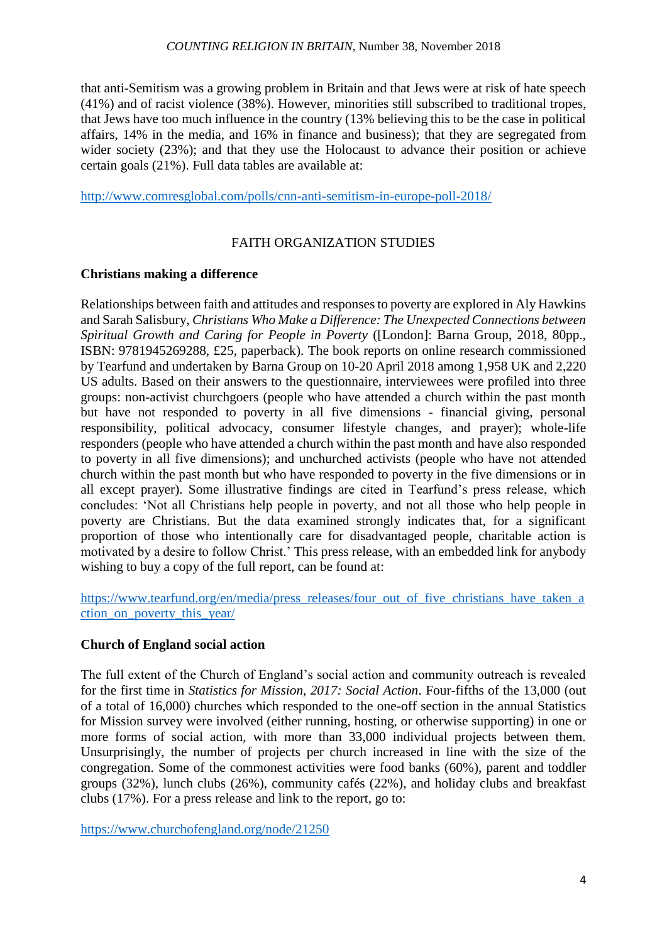that anti-Semitism was a growing problem in Britain and that Jews were at risk of hate speech (41%) and of racist violence (38%). However, minorities still subscribed to traditional tropes, that Jews have too much influence in the country (13% believing this to be the case in political affairs, 14% in the media, and 16% in finance and business); that they are segregated from wider society (23%); and that they use the Holocaust to advance their position or achieve certain goals (21%). Full data tables are available at:

<http://www.comresglobal.com/polls/cnn-anti-semitism-in-europe-poll-2018/>

# FAITH ORGANIZATION STUDIES

## **Christians making a difference**

Relationships between faith and attitudes and responses to poverty are explored in Aly Hawkins and Sarah Salisbury, *Christians Who Make a Difference: The Unexpected Connections between Spiritual Growth and Caring for People in Poverty* ([London]: Barna Group, 2018, 80pp., ISBN: 9781945269288, £25, paperback). The book reports on online research commissioned by Tearfund and undertaken by Barna Group on 10-20 April 2018 among 1,958 UK and 2,220 US adults. Based on their answers to the questionnaire, interviewees were profiled into three groups: non-activist churchgoers (people who have attended a church within the past month but have not responded to poverty in all five dimensions - financial giving, personal responsibility, political advocacy, consumer lifestyle changes, and prayer); whole-life responders (people who have attended a church within the past month and have also responded to poverty in all five dimensions); and unchurched activists (people who have not attended church within the past month but who have responded to poverty in the five dimensions or in all except prayer). Some illustrative findings are cited in Tearfund's press release, which concludes: 'Not all Christians help people in poverty, and not all those who help people in poverty are Christians. But the data examined strongly indicates that, for a significant proportion of those who intentionally care for disadvantaged people, charitable action is motivated by a desire to follow Christ.' This press release, with an embedded link for anybody wishing to buy a copy of the full report, can be found at:

[https://www.tearfund.org/en/media/press\\_releases/four\\_out\\_of\\_five\\_christians\\_have\\_taken\\_a](https://www.tearfund.org/en/media/press_releases/four_out_of_five_christians_have_taken_action_on_poverty_this_year/) [ction\\_on\\_poverty\\_this\\_year/](https://www.tearfund.org/en/media/press_releases/four_out_of_five_christians_have_taken_action_on_poverty_this_year/)

## **Church of England social action**

The full extent of the Church of England's social action and community outreach is revealed for the first time in *Statistics for Mission, 2017: Social Action*. Four-fifths of the 13,000 (out of a total of 16,000) churches which responded to the one-off section in the annual Statistics for Mission survey were involved (either running, hosting, or otherwise supporting) in one or more forms of social action, with more than 33,000 individual projects between them. Unsurprisingly, the number of projects per church increased in line with the size of the congregation. Some of the commonest activities were food banks (60%), parent and toddler groups (32%), lunch clubs (26%), community cafés (22%), and holiday clubs and breakfast clubs (17%). For a press release and link to the report, go to:

<https://www.churchofengland.org/node/21250>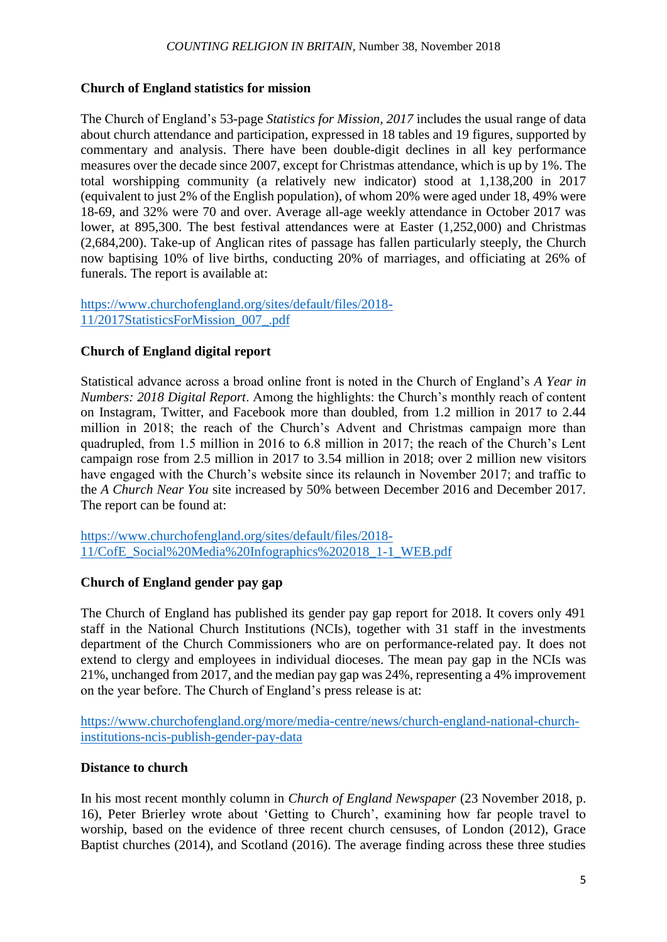#### **Church of England statistics for mission**

The Church of England's 53-page *Statistics for Mission, 2017* includes the usual range of data about church attendance and participation, expressed in 18 tables and 19 figures, supported by commentary and analysis. There have been double-digit declines in all key performance measures over the decade since 2007, except for Christmas attendance, which is up by 1%. The total worshipping community (a relatively new indicator) stood at 1,138,200 in 2017 (equivalent to just 2% of the English population), of whom 20% were aged under 18, 49% were 18-69, and 32% were 70 and over. Average all-age weekly attendance in October 2017 was lower, at 895,300. The best festival attendances were at Easter (1,252,000) and Christmas (2,684,200). Take-up of Anglican rites of passage has fallen particularly steeply, the Church now baptising 10% of live births, conducting 20% of marriages, and officiating at 26% of funerals. The report is available at:

[https://www.churchofengland.org/sites/default/files/2018-](https://www.churchofengland.org/sites/default/files/2018-11/2017StatisticsForMission_007_.pdf) [11/2017StatisticsForMission\\_007\\_.pdf](https://www.churchofengland.org/sites/default/files/2018-11/2017StatisticsForMission_007_.pdf)

#### **Church of England digital report**

Statistical advance across a broad online front is noted in the Church of England's *A Year in Numbers: 2018 Digital Report*. Among the highlights: the Church's monthly reach of content on Instagram, Twitter, and Facebook more than doubled, from 1.2 million in 2017 to 2.44 million in 2018; the reach of the Church's Advent and Christmas campaign more than quadrupled, from 1.5 million in 2016 to 6.8 million in 2017; the reach of the Church's Lent campaign rose from 2.5 million in 2017 to 3.54 million in 2018; over 2 million new visitors have engaged with the Church's website since its relaunch in November 2017; and traffic to the *A Church Near You* site increased by 50% between December 2016 and December 2017. The report can be found at:

[https://www.churchofengland.org/sites/default/files/2018-](https://www.churchofengland.org/sites/default/files/2018-11/CofE_Social%20Media%20Infographics%202018_1-1_WEB.pdf) [11/CofE\\_Social%20Media%20Infographics%202018\\_1-1\\_WEB.pdf](https://www.churchofengland.org/sites/default/files/2018-11/CofE_Social%20Media%20Infographics%202018_1-1_WEB.pdf)

## **Church of England gender pay gap**

The Church of England has published its gender pay gap report for 2018. It covers only 491 staff in the National Church Institutions (NCIs), together with 31 staff in the investments department of the Church Commissioners who are on performance-related pay. It does not extend to clergy and employees in individual dioceses. The mean pay gap in the NCIs was 21%, unchanged from 2017, and the median pay gap was 24%, representing a 4% improvement on the year before. The Church of England's press release is at:

[https://www.churchofengland.org/more/media-centre/news/church-england-national-church](https://www.churchofengland.org/more/media-centre/news/church-england-national-church-institutions-ncis-publish-gender-pay-data)[institutions-ncis-publish-gender-pay-data](https://www.churchofengland.org/more/media-centre/news/church-england-national-church-institutions-ncis-publish-gender-pay-data)

## **Distance to church**

In his most recent monthly column in *Church of England Newspaper* (23 November 2018, p. 16), Peter Brierley wrote about 'Getting to Church', examining how far people travel to worship, based on the evidence of three recent church censuses, of London (2012), Grace Baptist churches (2014), and Scotland (2016). The average finding across these three studies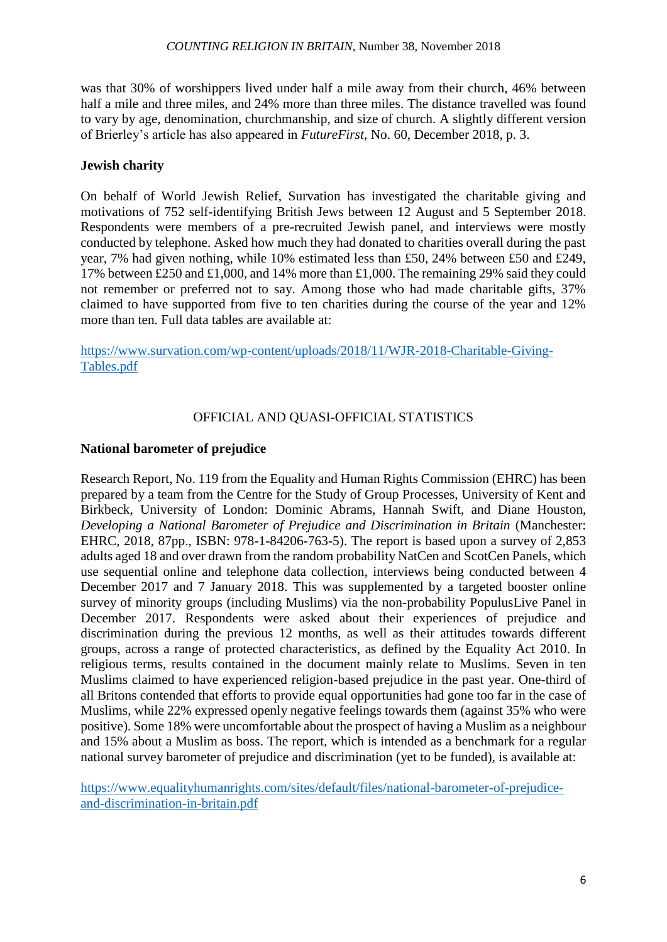was that 30% of worshippers lived under half a mile away from their church, 46% between half a mile and three miles, and 24% more than three miles. The distance travelled was found to vary by age, denomination, churchmanship, and size of church. A slightly different version of Brierley's article has also appeared in *FutureFirst*, No. 60, December 2018, p. 3.

# **Jewish charity**

On behalf of World Jewish Relief, Survation has investigated the charitable giving and motivations of 752 self-identifying British Jews between 12 August and 5 September 2018. Respondents were members of a pre-recruited Jewish panel, and interviews were mostly conducted by telephone. Asked how much they had donated to charities overall during the past year, 7% had given nothing, while 10% estimated less than £50, 24% between £50 and £249, 17% between £250 and £1,000, and 14% more than £1,000. The remaining 29% said they could not remember or preferred not to say. Among those who had made charitable gifts, 37% claimed to have supported from five to ten charities during the course of the year and 12% more than ten. Full data tables are available at:

[https://www.survation.com/wp-content/uploads/2018/11/WJR-2018-Charitable-Giving-](https://www.survation.com/wp-content/uploads/2018/11/WJR-2018-Charitable-Giving-Tables.pdf)[Tables.pdf](https://www.survation.com/wp-content/uploads/2018/11/WJR-2018-Charitable-Giving-Tables.pdf)

# OFFICIAL AND QUASI-OFFICIAL STATISTICS

# **National barometer of prejudice**

Research Report, No. 119 from the Equality and Human Rights Commission (EHRC) has been prepared by a team from the Centre for the Study of Group Processes, University of Kent and Birkbeck, University of London: Dominic Abrams, Hannah Swift, and Diane Houston, *Developing a National Barometer of Prejudice and Discrimination in Britain* (Manchester: EHRC, 2018, 87pp., ISBN: 978-1-84206-763-5). The report is based upon a survey of 2,853 adults aged 18 and over drawn from the random probability NatCen and ScotCen Panels, which use sequential online and telephone data collection, interviews being conducted between 4 December 2017 and 7 January 2018. This was supplemented by a targeted booster online survey of minority groups (including Muslims) via the non-probability PopulusLive Panel in December 2017. Respondents were asked about their experiences of prejudice and discrimination during the previous 12 months, as well as their attitudes towards different groups, across a range of protected characteristics, as defined by the Equality Act 2010. In religious terms, results contained in the document mainly relate to Muslims. Seven in ten Muslims claimed to have experienced religion-based prejudice in the past year. One-third of all Britons contended that efforts to provide equal opportunities had gone too far in the case of Muslims, while 22% expressed openly negative feelings towards them (against 35% who were positive). Some 18% were uncomfortable about the prospect of having a Muslim as a neighbour and 15% about a Muslim as boss. The report, which is intended as a benchmark for a regular national survey barometer of prejudice and discrimination (yet to be funded), is available at:

[https://www.equalityhumanrights.com/sites/default/files/national-barometer-of-prejudice](https://www.equalityhumanrights.com/sites/default/files/national-barometer-of-prejudice-and-discrimination-in-britain.pdf)[and-discrimination-in-britain.pdf](https://www.equalityhumanrights.com/sites/default/files/national-barometer-of-prejudice-and-discrimination-in-britain.pdf)